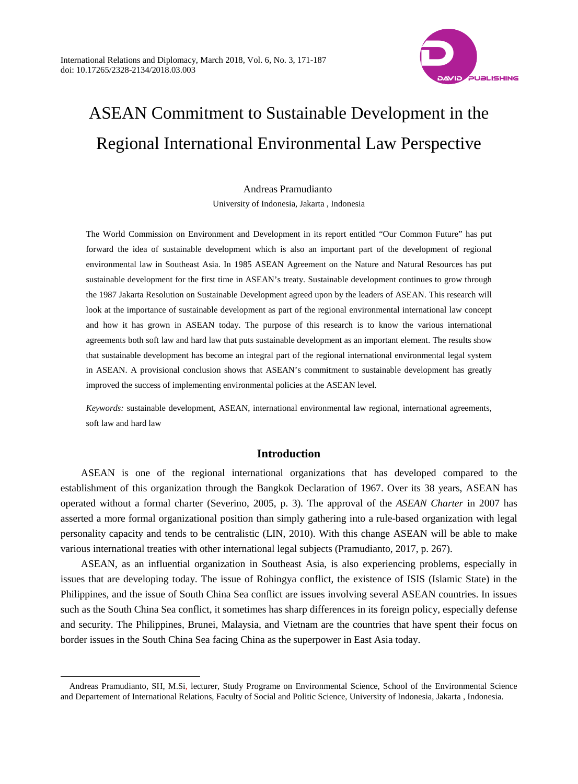

# ASEAN Commitment to Sustainable Development in the Regional International Environmental Law Perspective

# Andreas Pramudianto University of Indonesia, Jakarta , Indonesia

The World Commission on Environment and Development in its report entitled "Our Common Future" has put forward the idea of sustainable development which is also an important part of the development of regional environmental law in Southeast Asia. In 1985 ASEAN Agreement on the Nature and Natural Resources has put sustainable development for the first time in ASEAN's treaty. Sustainable development continues to grow through the 1987 Jakarta Resolution on Sustainable Development agreed upon by the leaders of ASEAN. This research will look at the importance of sustainable development as part of the regional environmental international law concept and how it has grown in ASEAN today. The purpose of this research is to know the various international agreements both soft law and hard law that puts sustainable development as an important element. The results show that sustainable development has become an integral part of the regional international environmental legal system in ASEAN. A provisional conclusion shows that ASEAN's commitment to sustainable development has greatly improved the success of implementing environmental policies at the ASEAN level.

*Keywords:* sustainable development, ASEAN, international environmental law regional, international agreements, soft law and hard law

#### **Introduction**

ASEAN is one of the regional international organizations that has developed compared to the establishment of this organization through the Bangkok Declaration of 1967. Over its 38 years, ASEAN has operated without a formal charter (Severino, 2005, p. 3). The approval of the *ASEAN Charter* in 2007 has asserted a more formal organizational position than simply gathering into a rule-based organization with legal personality capacity and tends to be centralistic (LIN, 2010). With this change ASEAN will be able to make various international treaties with other international legal subjects (Pramudianto, 2017, p. 267).

ASEAN, as an influential organization in Southeast Asia, is also experiencing problems, especially in issues that are developing today. The issue of Rohingya conflict, the existence of ISIS (Islamic State) in the Philippines, and the issue of South China Sea conflict are issues involving several ASEAN countries. In issues such as the South China Sea conflict, it sometimes has sharp differences in its foreign policy, especially defense and security. The Philippines, Brunei, Malaysia, and Vietnam are the countries that have spent their focus on border issues in the South China Sea facing China as the superpower in East Asia today.

 $\ddot{ }$ 

Andreas Pramudianto, SH, M.Si, lecturer, Study Programe on Environmental Science, School of the Environmental Science and Departement of International Relations, Faculty of Social and Politic Science, University of Indonesia, Jakarta , Indonesia.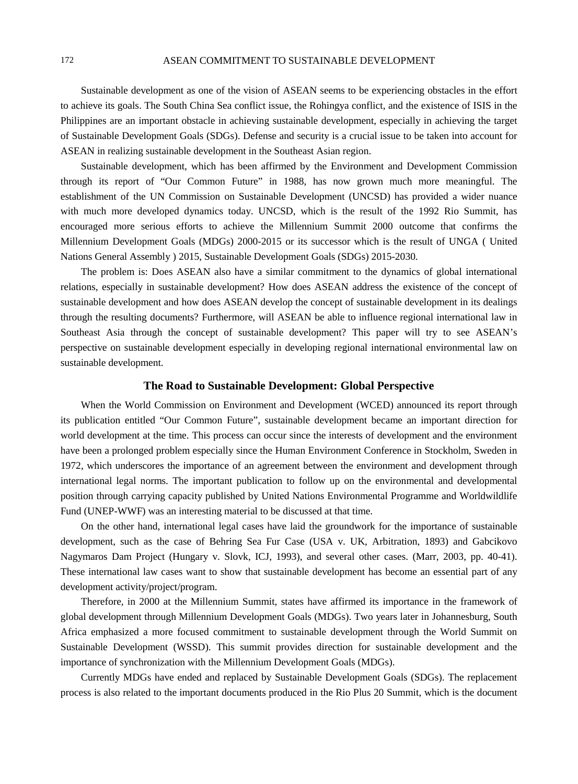Sustainable development as one of the vision of ASEAN seems to be experiencing obstacles in the effort to achieve its goals. The South China Sea conflict issue, the Rohingya conflict, and the existence of ISIS in the Philippines are an important obstacle in achieving sustainable development, especially in achieving the target of Sustainable Development Goals (SDGs). Defense and security is a crucial issue to be taken into account for ASEAN in realizing sustainable development in the Southeast Asian region.

Sustainable development, which has been affirmed by the Environment and Development Commission through its report of "Our Common Future" in 1988, has now grown much more meaningful. The establishment of the UN Commission on Sustainable Development (UNCSD) has provided a wider nuance with much more developed dynamics today. UNCSD, which is the result of the 1992 Rio Summit, has encouraged more serious efforts to achieve the Millennium Summit 2000 outcome that confirms the Millennium Development Goals (MDGs) 2000-2015 or its successor which is the result of UNGA ( United Nations General Assembly ) 2015, Sustainable Development Goals (SDGs) 2015-2030.

The problem is: Does ASEAN also have a similar commitment to the dynamics of global international relations, especially in sustainable development? How does ASEAN address the existence of the concept of sustainable development and how does ASEAN develop the concept of sustainable development in its dealings through the resulting documents? Furthermore, will ASEAN be able to influence regional international law in Southeast Asia through the concept of sustainable development? This paper will try to see ASEAN's perspective on sustainable development especially in developing regional international environmental law on sustainable development.

# **The Road to Sustainable Development: Global Perspective**

When the World Commission on Environment and Development (WCED) announced its report through its publication entitled "Our Common Future", sustainable development became an important direction for world development at the time. This process can occur since the interests of development and the environment have been a prolonged problem especially since the Human Environment Conference in Stockholm, Sweden in 1972, which underscores the importance of an agreement between the environment and development through international legal norms. The important publication to follow up on the environmental and developmental position through carrying capacity published by United Nations Environmental Programme and Worldwildlife Fund (UNEP-WWF) was an interesting material to be discussed at that time.

On the other hand, international legal cases have laid the groundwork for the importance of sustainable development, such as the case of Behring Sea Fur Case (USA v. UK, Arbitration, 1893) and Gabcikovo Nagymaros Dam Project (Hungary v. Slovk, ICJ, 1993), and several other cases. (Marr, 2003, pp. 40-41). These international law cases want to show that sustainable development has become an essential part of any development activity/project/program.

Therefore, in 2000 at the Millennium Summit, states have affirmed its importance in the framework of global development through Millennium Development Goals (MDGs). Two years later in Johannesburg, South Africa emphasized a more focused commitment to sustainable development through the World Summit on Sustainable Development (WSSD). This summit provides direction for sustainable development and the importance of synchronization with the Millennium Development Goals (MDGs).

Currently MDGs have ended and replaced by Sustainable Development Goals (SDGs). The replacement process is also related to the important documents produced in the Rio Plus 20 Summit, which is the document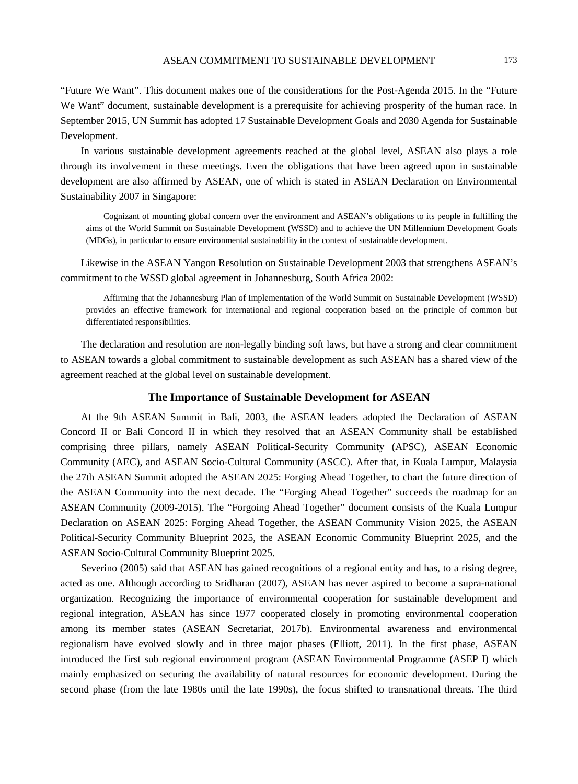"Future We Want". This document makes one of the considerations for the Post-Agenda 2015. In the "Future We Want" document, sustainable development is a prerequisite for achieving prosperity of the human race. In September 2015, UN Summit has adopted 17 Sustainable Development Goals and 2030 Agenda for Sustainable Development.

In various sustainable development agreements reached at the global level, ASEAN also plays a role through its involvement in these meetings. Even the obligations that have been agreed upon in sustainable development are also affirmed by ASEAN, one of which is stated in ASEAN Declaration on Environmental Sustainability 2007 in Singapore:

Cognizant of mounting global concern over the environment and ASEAN's obligations to its people in fulfilling the aims of the World Summit on Sustainable Development (WSSD) and to achieve the UN Millennium Development Goals (MDGs), in particular to ensure environmental sustainability in the context of sustainable development.

Likewise in the ASEAN Yangon Resolution on Sustainable Development 2003 that strengthens ASEAN's commitment to the WSSD global agreement in Johannesburg, South Africa 2002:

Affirming that the Johannesburg Plan of Implementation of the World Summit on Sustainable Development (WSSD) provides an effective framework for international and regional cooperation based on the principle of common but differentiated responsibilities.

The declaration and resolution are non-legally binding soft laws, but have a strong and clear commitment to ASEAN towards a global commitment to sustainable development as such ASEAN has a shared view of the agreement reached at the global level on sustainable development.

#### **The Importance of Sustainable Development for ASEAN**

At the 9th ASEAN Summit in Bali, 2003, the ASEAN leaders adopted the Declaration of ASEAN Concord II or Bali Concord II in which they resolved that an ASEAN Community shall be established comprising three pillars, namely ASEAN Political-Security Community (APSC), ASEAN Economic Community (AEC), and ASEAN Socio-Cultural Community (ASCC). After that, in Kuala Lumpur, Malaysia the 27th ASEAN Summit adopted the ASEAN 2025: Forging Ahead Together, to chart the future direction of the ASEAN Community into the next decade. The "Forging Ahead Together" succeeds the roadmap for an ASEAN Community (2009-2015). The "Forgoing Ahead Together" document consists of the Kuala Lumpur Declaration on ASEAN 2025: Forging Ahead Together, the ASEAN Community Vision 2025, the ASEAN Political-Security Community Blueprint 2025, the ASEAN Economic Community Blueprint 2025, and the ASEAN Socio-Cultural Community Blueprint 2025.

Severino (2005) said that ASEAN has gained recognitions of a regional entity and has, to a rising degree, acted as one. Although according to Sridharan (2007), ASEAN has never aspired to become a supra-national organization. Recognizing the importance of environmental cooperation for sustainable development and regional integration, ASEAN has since 1977 cooperated closely in promoting environmental cooperation among its member states (ASEAN Secretariat, 2017b). Environmental awareness and environmental regionalism have evolved slowly and in three major phases (Elliott, 2011). In the first phase, ASEAN introduced the first sub regional environment program (ASEAN Environmental Programme (ASEP I) which mainly emphasized on securing the availability of natural resources for economic development. During the second phase (from the late 1980s until the late 1990s), the focus shifted to transnational threats. The third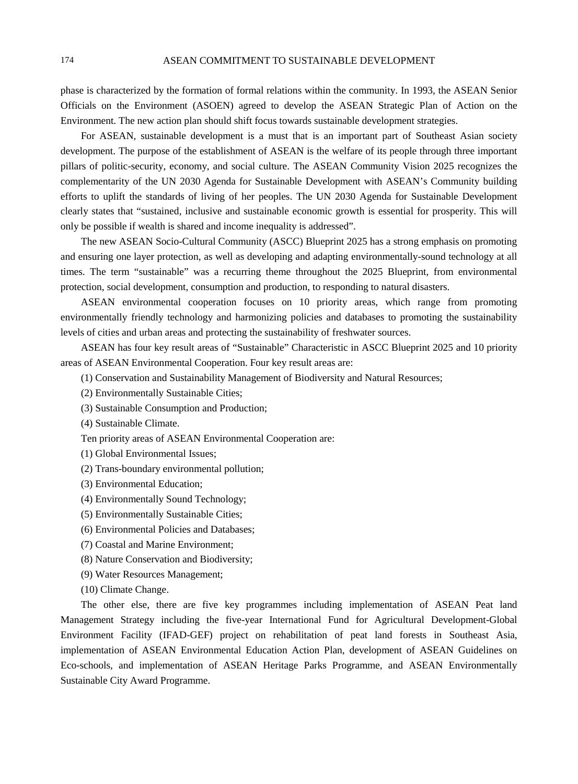phase is characterized by the formation of formal relations within the community. In 1993, the ASEAN Senior Officials on the Environment (ASOEN) agreed to develop the ASEAN Strategic Plan of Action on the Environment. The new action plan should shift focus towards sustainable development strategies.

For ASEAN, sustainable development is a must that is an important part of Southeast Asian society development. The purpose of the establishment of ASEAN is the welfare of its people through three important pillars of politic-security, economy, and social culture. The ASEAN Community Vision 2025 recognizes the complementarity of the UN 2030 Agenda for Sustainable Development with ASEAN's Community building efforts to uplift the standards of living of her peoples. The UN 2030 Agenda for Sustainable Development clearly states that "sustained, inclusive and sustainable economic growth is essential for prosperity. This will only be possible if wealth is shared and income inequality is addressed".

The new ASEAN Socio-Cultural Community (ASCC) Blueprint 2025 has a strong emphasis on promoting and ensuring one layer protection, as well as developing and adapting environmentally-sound technology at all times. The term "sustainable" was a recurring theme throughout the 2025 Blueprint, from environmental protection, social development, consumption and production, to responding to natural disasters.

ASEAN environmental cooperation focuses on 10 priority areas, which range from promoting environmentally friendly technology and harmonizing policies and databases to promoting the sustainability levels of cities and urban areas and protecting the sustainability of freshwater sources.

ASEAN has four key result areas of "Sustainable" Characteristic in ASCC Blueprint 2025 and 10 priority areas of ASEAN Environmental Cooperation. Four key result areas are:

(1) Conservation and Sustainability Management of Biodiversity and Natural Resources;

- (2) Environmentally Sustainable Cities;
- (3) Sustainable Consumption and Production;
- (4) Sustainable Climate.
- Ten priority areas of ASEAN Environmental Cooperation are:
- (1) Global Environmental Issues;
- (2) Trans-boundary environmental pollution;
- (3) Environmental Education;
- (4) Environmentally Sound Technology;
- (5) Environmentally Sustainable Cities;
- (6) Environmental Policies and Databases;
- (7) Coastal and Marine Environment;
- (8) Nature Conservation and Biodiversity;
- (9) Water Resources Management;
- (10) Climate Change.

The other else, there are five key programmes including implementation of ASEAN Peat land Management Strategy including the five-year International Fund for Agricultural Development-Global Environment Facility (IFAD-GEF) project on rehabilitation of peat land forests in Southeast Asia, implementation of ASEAN Environmental Education Action Plan, development of ASEAN Guidelines on Eco-schools, and implementation of ASEAN Heritage Parks Programme, and ASEAN Environmentally Sustainable City Award Programme.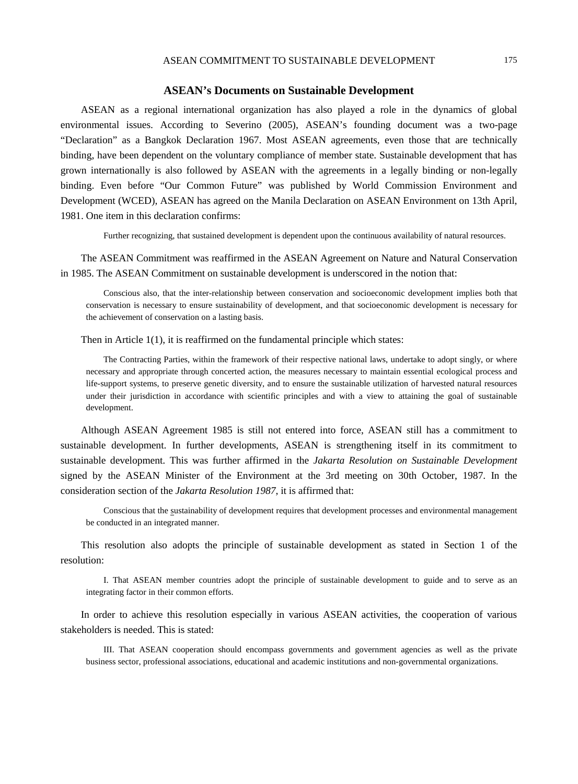#### **ASEAN's Documents on Sustainable Development**

ASEAN as a regional international organization has also played a role in the dynamics of global environmental issues. According to Severino (2005), ASEAN's founding document was a two-page "Declaration" as a Bangkok Declaration 1967. Most ASEAN agreements, even those that are technically binding, have been dependent on the voluntary compliance of member state. Sustainable development that has grown internationally is also followed by ASEAN with the agreements in a legally binding or non-legally binding. Even before "Our Common Future" was published by World Commission Environment and Development (WCED), ASEAN has agreed on the Manila Declaration on ASEAN Environment on 13th April, 1981. One item in this declaration confirms:

Further recognizing, that sustained development is dependent upon the continuous availability of natural resources.

The ASEAN Commitment was reaffirmed in the ASEAN Agreement on Nature and Natural Conservation in 1985. The ASEAN Commitment on sustainable development is underscored in the notion that:

Conscious also, that the inter-relationship between conservation and socioeconomic development implies both that conservation is necessary to ensure sustainability of development, and that socioeconomic development is necessary for the achievement of conservation on a lasting basis.

Then in Article 1(1), it is reaffirmed on the fundamental principle which states:

The Contracting Parties, within the framework of their respective national laws, undertake to adopt singly, or where necessary and appropriate through concerted action, the measures necessary to maintain essential ecological process and life-support systems, to preserve genetic diversity, and to ensure the sustainable utilization of harvested natural resources under their jurisdiction in accordance with scientific principles and with a view to attaining the goal of sustainable development.

Although ASEAN Agreement 1985 is still not entered into force, ASEAN still has a commitment to sustainable development. In further developments, ASEAN is strengthening itself in its commitment to sustainable development. This was further affirmed in the *Jakarta Resolution on Sustainable Development* signed by the ASEAN Minister of the Environment at the 3rd meeting on 30th October, 1987. In the consideration section of the *Jakarta Resolution 1987*, it is affirmed that:

Conscious that the sustainability of development requires that development processes and environmental management be conducted in an integrated manner.

This resolution also adopts the principle of sustainable development as stated in Section 1 of the resolution:

I. That ASEAN member countries adopt the principle of sustainable development to guide and to serve as an integrating factor in their common efforts.

In order to achieve this resolution especially in various ASEAN activities, the cooperation of various stakeholders is needed. This is stated:

III. That ASEAN cooperation should encompass governments and government agencies as well as the private business sector, professional associations, educational and academic institutions and non-governmental organizations.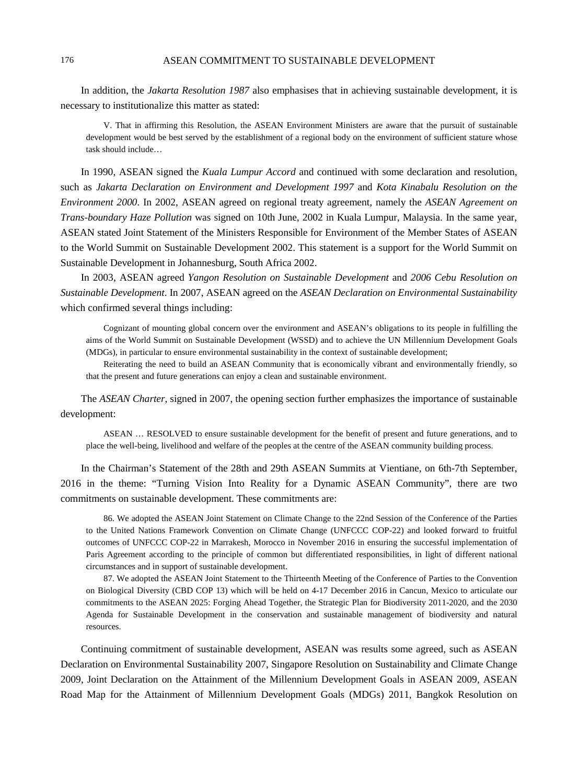In addition, the *Jakarta Resolution 1987* also emphasises that in achieving sustainable development, it is necessary to institutionalize this matter as stated:

V. That in affirming this Resolution, the ASEAN Environment Ministers are aware that the pursuit of sustainable development would be best served by the establishment of a regional body on the environment of sufficient stature whose task should include…

In 1990, ASEAN signed the *Kuala Lumpur Accord* and continued with some declaration and resolution, such as *Jakarta Declaration on Environment and Development 1997* and *Kota Kinabalu Resolution on the Environment 2000*. In 2002, ASEAN agreed on regional treaty agreement, namely the *ASEAN Agreement on Trans-boundary Haze Pollution* was signed on 10th June, 2002 in Kuala Lumpur, Malaysia. In the same year, ASEAN stated Joint Statement of the Ministers Responsible for Environment of the Member States of ASEAN to the World Summit on Sustainable Development 2002. This statement is a support for the World Summit on Sustainable Development in Johannesburg, South Africa 2002.

In 2003, ASEAN agreed *Yangon Resolution on Sustainable Development* and *2006 Cebu Resolution on Sustainable Development*. In 2007, ASEAN agreed on the *ASEAN Declaration on Environmental Sustainability* which confirmed several things including:

Cognizant of mounting global concern over the environment and ASEAN's obligations to its people in fulfilling the aims of the World Summit on Sustainable Development (WSSD) and to achieve the UN Millennium Development Goals (MDGs), in particular to ensure environmental sustainability in the context of sustainable development;

Reiterating the need to build an ASEAN Community that is economically vibrant and environmentally friendly, so that the present and future generations can enjoy a clean and sustainable environment.

The *ASEAN Charter*, signed in 2007, the opening section further emphasizes the importance of sustainable development:

ASEAN … RESOLVED to ensure sustainable development for the benefit of present and future generations, and to place the well-being, livelihood and welfare of the peoples at the centre of the ASEAN community building process.

In the Chairman's Statement of the 28th and 29th ASEAN Summits at Vientiane, on 6th-7th September, 2016 in the theme: "Turning Vision Into Reality for a Dynamic ASEAN Community", there are two commitments on sustainable development. These commitments are:

86. We adopted the ASEAN Joint Statement on Climate Change to the 22nd Session of the Conference of the Parties to the United Nations Framework Convention on Climate Change (UNFCCC COP-22) and looked forward to fruitful outcomes of UNFCCC COP-22 in Marrakesh, Morocco in November 2016 in ensuring the successful implementation of Paris Agreement according to the principle of common but differentiated responsibilities, in light of different national circumstances and in support of sustainable development.

87. We adopted the ASEAN Joint Statement to the Thirteenth Meeting of the Conference of Parties to the Convention on Biological Diversity (CBD COP 13) which will be held on 4-17 December 2016 in Cancun, Mexico to articulate our commitments to the ASEAN 2025: Forging Ahead Together, the Strategic Plan for Biodiversity 2011-2020, and the 2030 Agenda for Sustainable Development in the conservation and sustainable management of biodiversity and natural resources.

Continuing commitment of sustainable development, ASEAN was results some agreed, such as ASEAN Declaration on Environmental Sustainability 2007, Singapore Resolution on Sustainability and Climate Change 2009, Joint Declaration on the Attainment of the Millennium Development Goals in ASEAN 2009, ASEAN Road Map for the Attainment of Millennium Development Goals (MDGs) 2011, Bangkok Resolution on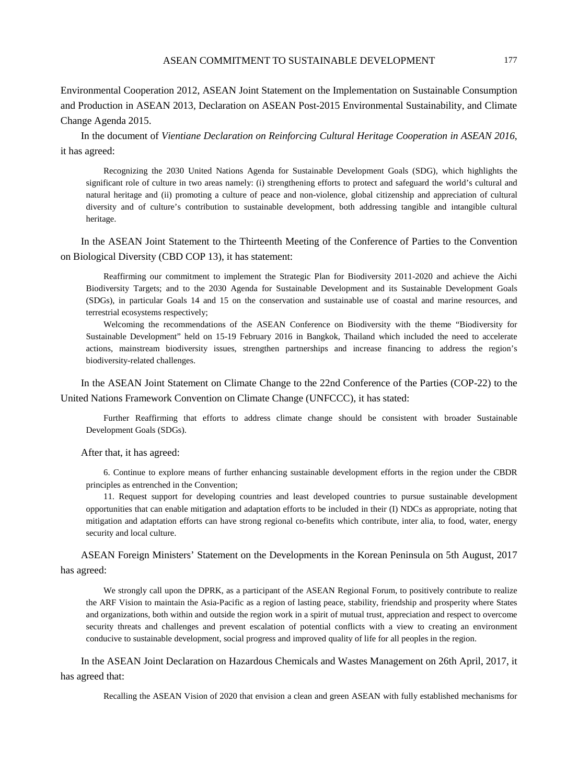Environmental Cooperation 2012, ASEAN Joint Statement on the Implementation on Sustainable Consumption and Production in ASEAN 2013, Declaration on ASEAN Post-2015 Environmental Sustainability, and Climate Change Agenda 2015.

In the document of *Vientiane Declaration on Reinforcing Cultural Heritage Cooperation in ASEAN 2016*, it has agreed:

Recognizing the 2030 United Nations Agenda for Sustainable Development Goals (SDG), which highlights the significant role of culture in two areas namely: (i) strengthening efforts to protect and safeguard the world's cultural and natural heritage and (ii) promoting a culture of peace and non-violence, global citizenship and appreciation of cultural diversity and of culture's contribution to sustainable development, both addressing tangible and intangible cultural heritage.

In the ASEAN Joint Statement to the Thirteenth Meeting of the Conference of Parties to the Convention on Biological Diversity (CBD COP 13), it has statement:

Reaffirming our commitment to implement the Strategic Plan for Biodiversity 2011-2020 and achieve the Aichi Biodiversity Targets; and to the 2030 Agenda for Sustainable Development and its Sustainable Development Goals (SDGs), in particular Goals 14 and 15 on the conservation and sustainable use of coastal and marine resources, and terrestrial ecosystems respectively;

Welcoming the recommendations of the ASEAN Conference on Biodiversity with the theme "Biodiversity for Sustainable Development" held on 15-19 February 2016 in Bangkok, Thailand which included the need to accelerate actions, mainstream biodiversity issues, strengthen partnerships and increase financing to address the region's biodiversity-related challenges.

In the ASEAN Joint Statement on Climate Change to the 22nd Conference of the Parties (COP-22) to the United Nations Framework Convention on Climate Change (UNFCCC), it has stated:

Further Reaffirming that efforts to address climate change should be consistent with broader Sustainable Development Goals (SDGs).

After that, it has agreed:

6. Continue to explore means of further enhancing sustainable development efforts in the region under the CBDR principles as entrenched in the Convention;

11. Request support for developing countries and least developed countries to pursue sustainable development opportunities that can enable mitigation and adaptation efforts to be included in their (I) NDCs as appropriate, noting that mitigation and adaptation efforts can have strong regional co-benefits which contribute, inter alia, to food, water, energy security and local culture.

ASEAN Foreign Ministers' Statement on the Developments in the Korean Peninsula on 5th August, 2017 has agreed:

We strongly call upon the DPRK, as a participant of the ASEAN Regional Forum, to positively contribute to realize the ARF Vision to maintain the Asia-Pacific as a region of lasting peace, stability, friendship and prosperity where States and organizations, both within and outside the region work in a spirit of mutual trust, appreciation and respect to overcome security threats and challenges and prevent escalation of potential conflicts with a view to creating an environment conducive to sustainable development, social progress and improved quality of life for all peoples in the region.

In the ASEAN Joint Declaration on Hazardous Chemicals and Wastes Management on 26th April, 2017, it has agreed that:

Recalling the ASEAN Vision of 2020 that envision a clean and green ASEAN with fully established mechanisms for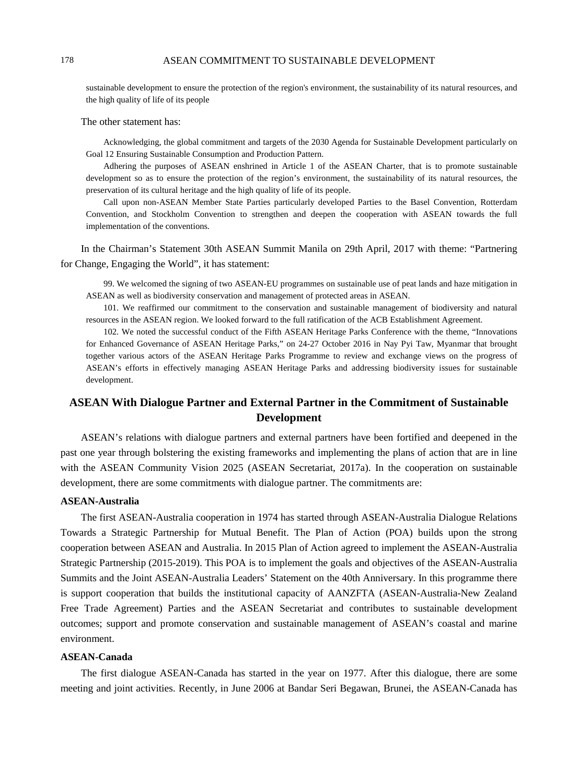sustainable development to ensure the protection of the region's environment, the sustainability of its natural resources, and the high quality of life of its people

The other statement has:

Acknowledging, the global commitment and targets of the 2030 Agenda for Sustainable Development particularly on Goal 12 Ensuring Sustainable Consumption and Production Pattern.

Adhering the purposes of ASEAN enshrined in Article 1 of the ASEAN Charter, that is to promote sustainable development so as to ensure the protection of the region's environment, the sustainability of its natural resources, the preservation of its cultural heritage and the high quality of life of its people.

Call upon non-ASEAN Member State Parties particularly developed Parties to the Basel Convention, Rotterdam Convention, and Stockholm Convention to strengthen and deepen the cooperation with ASEAN towards the full implementation of the conventions.

In the Chairman's Statement 30th ASEAN Summit Manila on 29th April, 2017 with theme: "Partnering for Change, Engaging the World", it has statement:

99. We welcomed the signing of two ASEAN-EU programmes on sustainable use of peat lands and haze mitigation in ASEAN as well as biodiversity conservation and management of protected areas in ASEAN.

101. We reaffirmed our commitment to the conservation and sustainable management of biodiversity and natural resources in the ASEAN region. We looked forward to the full ratification of the ACB Establishment Agreement.

102. We noted the successful conduct of the Fifth ASEAN Heritage Parks Conference with the theme, "Innovations for Enhanced Governance of ASEAN Heritage Parks," on 24-27 October 2016 in Nay Pyi Taw, Myanmar that brought together various actors of the ASEAN Heritage Parks Programme to review and exchange views on the progress of ASEAN's efforts in effectively managing ASEAN Heritage Parks and addressing biodiversity issues for sustainable development.

# **ASEAN With Dialogue Partner and External Partner in the Commitment of Sustainable Development**

ASEAN's relations with dialogue partners and external partners have been fortified and deepened in the past one year through bolstering the existing frameworks and implementing the plans of action that are in line with the ASEAN Community Vision 2025 (ASEAN Secretariat, 2017a). In the cooperation on sustainable development, there are some commitments with dialogue partner. The commitments are:

#### **ASEAN-Australia**

The first ASEAN-Australia cooperation in 1974 has started through ASEAN-Australia Dialogue Relations Towards a Strategic Partnership for Mutual Benefit. The Plan of Action (POA) builds upon the strong cooperation between ASEAN and Australia. In 2015 Plan of Action agreed to implement the ASEAN-Australia Strategic Partnership (2015-2019). This POA is to implement the goals and objectives of the ASEAN-Australia Summits and the Joint ASEAN-Australia Leaders' Statement on the 40th Anniversary. In this programme there is support cooperation that builds the institutional capacity of AANZFTA (ASEAN-Australia-New Zealand Free Trade Agreement) Parties and the ASEAN Secretariat and contributes to sustainable development outcomes; support and promote conservation and sustainable management of ASEAN's coastal and marine environment.

#### **ASEAN-Canada**

The first dialogue ASEAN-Canada has started in the year on 1977. After this dialogue, there are some meeting and joint activities. Recently, in June 2006 at Bandar Seri Begawan, Brunei, the ASEAN-Canada has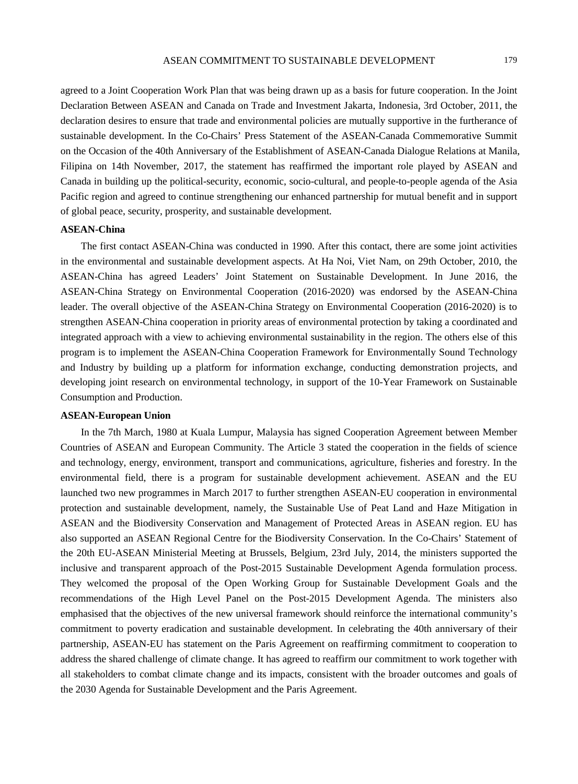agreed to a Joint Cooperation Work Plan that was being drawn up as a basis for future cooperation. In the Joint Declaration Between ASEAN and Canada on Trade and Investment Jakarta, Indonesia, 3rd October, 2011, the declaration desires to ensure that trade and environmental policies are mutually supportive in the furtherance of sustainable development. In the Co-Chairs' Press Statement of the ASEAN-Canada Commemorative Summit on the Occasion of the 40th Anniversary of the Establishment of ASEAN-Canada Dialogue Relations at Manila, Filipina on 14th November, 2017, the statement has reaffirmed the important role played by ASEAN and Canada in building up the political-security, economic, socio-cultural, and people-to-people agenda of the Asia Pacific region and agreed to continue strengthening our enhanced partnership for mutual benefit and in support of global peace, security, prosperity, and sustainable development.

#### **ASEAN-China**

The first contact ASEAN-China was conducted in 1990. After this contact, there are some joint activities in the environmental and sustainable development aspects. At Ha Noi, Viet Nam, on 29th October, 2010, the ASEAN-China has agreed Leaders' Joint Statement on Sustainable Development. In June 2016, the ASEAN-China Strategy on Environmental Cooperation (2016-2020) was endorsed by the ASEAN-China leader. The overall objective of the ASEAN-China Strategy on Environmental Cooperation (2016-2020) is to strengthen ASEAN-China cooperation in priority areas of environmental protection by taking a coordinated and integrated approach with a view to achieving environmental sustainability in the region. The others else of this program is to implement the ASEAN-China Cooperation Framework for Environmentally Sound Technology and Industry by building up a platform for information exchange, conducting demonstration projects, and developing joint research on environmental technology, in support of the 10-Year Framework on Sustainable Consumption and Production.

#### **ASEAN-European Union**

In the 7th March, 1980 at Kuala Lumpur, Malaysia has signed Cooperation Agreement between Member Countries of ASEAN and European Community. The Article 3 stated the cooperation in the fields of science and technology, energy, environment, transport and communications, agriculture, fisheries and forestry. In the environmental field, there is a program for sustainable development achievement. ASEAN and the EU launched two new programmes in March 2017 to further strengthen ASEAN-EU cooperation in environmental protection and sustainable development, namely, the Sustainable Use of Peat Land and Haze Mitigation in ASEAN and the Biodiversity Conservation and Management of Protected Areas in ASEAN region. EU has also supported an ASEAN Regional Centre for the Biodiversity Conservation. In the Co-Chairs' Statement of the 20th EU-ASEAN Ministerial Meeting at Brussels, Belgium, 23rd July, 2014, the ministers supported the inclusive and transparent approach of the Post-2015 Sustainable Development Agenda formulation process. They welcomed the proposal of the Open Working Group for Sustainable Development Goals and the recommendations of the High Level Panel on the Post-2015 Development Agenda. The ministers also emphasised that the objectives of the new universal framework should reinforce the international community's commitment to poverty eradication and sustainable development. In celebrating the 40th anniversary of their partnership, ASEAN-EU has statement on the Paris Agreement on reaffirming commitment to cooperation to address the shared challenge of climate change. It has agreed to reaffirm our commitment to work together with all stakeholders to combat climate change and its impacts, consistent with the broader outcomes and goals of the 2030 Agenda for Sustainable Development and the Paris Agreement.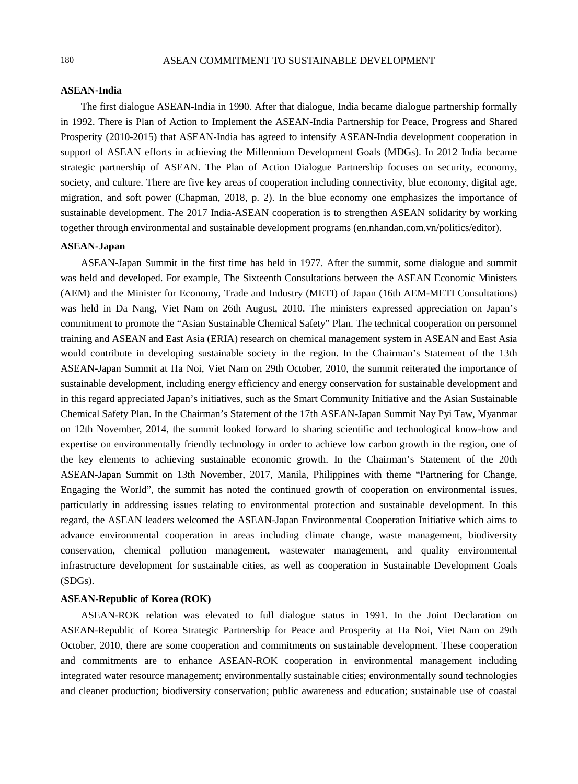#### **ASEAN-India**

The first dialogue ASEAN-India in 1990. After that dialogue, India became dialogue partnership formally in 1992. There is Plan of Action to Implement the ASEAN-India Partnership for Peace, Progress and Shared Prosperity (2010-2015) that ASEAN-India has agreed to intensify ASEAN-India development cooperation in support of ASEAN efforts in achieving the Millennium Development Goals (MDGs). In 2012 India became strategic partnership of ASEAN. The Plan of Action Dialogue Partnership focuses on security, economy, society, and culture. There are five key areas of cooperation including connectivity, blue economy, digital age, migration, and soft power (Chapman, 2018, p. 2). In the blue economy one emphasizes the importance of sustainable development. The 2017 India-ASEAN cooperation is to strengthen ASEAN solidarity by working together through environmental and sustainable development programs (en.nhandan.com.vn/politics/editor).

# **ASEAN-Japan**

ASEAN-Japan Summit in the first time has held in 1977. After the summit, some dialogue and summit was held and developed. For example, The Sixteenth Consultations between the ASEAN Economic Ministers (AEM) and the Minister for Economy, Trade and Industry (METI) of Japan (16th AEM-METI Consultations) was held in Da Nang, Viet Nam on 26th August, 2010. The ministers expressed appreciation on Japan's commitment to promote the "Asian Sustainable Chemical Safety" Plan. The technical cooperation on personnel training and ASEAN and East Asia (ERIA) research on chemical management system in ASEAN and East Asia would contribute in developing sustainable society in the region. In the Chairman's Statement of the 13th ASEAN-Japan Summit at Ha Noi, Viet Nam on 29th October, 2010, the summit reiterated the importance of sustainable development, including energy efficiency and energy conservation for sustainable development and in this regard appreciated Japan's initiatives, such as the Smart Community Initiative and the Asian Sustainable Chemical Safety Plan. In the Chairman's Statement of the 17th ASEAN-Japan Summit Nay Pyi Taw, Myanmar on 12th November, 2014, the summit looked forward to sharing scientific and technological know-how and expertise on environmentally friendly technology in order to achieve low carbon growth in the region, one of the key elements to achieving sustainable economic growth. In the Chairman's Statement of the 20th ASEAN-Japan Summit on 13th November, 2017, Manila, Philippines with theme "Partnering for Change, Engaging the World", the summit has noted the continued growth of cooperation on environmental issues, particularly in addressing issues relating to environmental protection and sustainable development. In this regard, the ASEAN leaders welcomed the ASEAN-Japan Environmental Cooperation Initiative which aims to advance environmental cooperation in areas including climate change, waste management, biodiversity conservation, chemical pollution management, wastewater management, and quality environmental infrastructure development for sustainable cities, as well as cooperation in Sustainable Development Goals (SDGs).

#### **ASEAN-Republic of Korea (ROK)**

ASEAN-ROK relation was elevated to full dialogue status in 1991. In the Joint Declaration on ASEAN-Republic of Korea Strategic Partnership for Peace and Prosperity at Ha Noi, Viet Nam on 29th October, 2010, there are some cooperation and commitments on sustainable development. These cooperation and commitments are to enhance ASEAN-ROK cooperation in environmental management including integrated water resource management; environmentally sustainable cities; environmentally sound technologies and cleaner production; biodiversity conservation; public awareness and education; sustainable use of coastal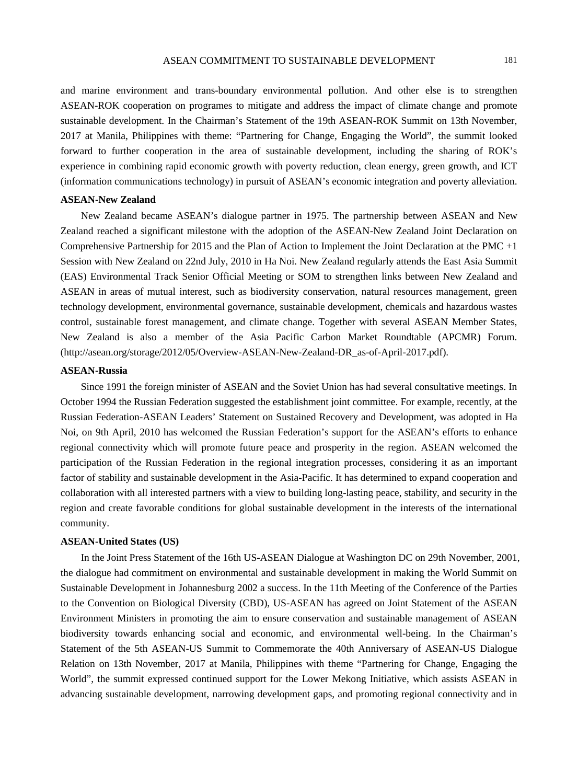and marine environment and trans-boundary environmental pollution. And other else is to strengthen ASEAN-ROK cooperation on programes to mitigate and address the impact of climate change and promote sustainable development. In the Chairman's Statement of the 19th ASEAN-ROK Summit on 13th November, 2017 at Manila, Philippines with theme: "Partnering for Change, Engaging the World", the summit looked forward to further cooperation in the area of sustainable development, including the sharing of ROK's experience in combining rapid economic growth with poverty reduction, clean energy, green growth, and ICT (information communications technology) in pursuit of ASEAN's economic integration and poverty alleviation.

# **ASEAN-New Zealand**

New Zealand became ASEAN's dialogue partner in 1975. The partnership between ASEAN and New Zealand reached a significant milestone with the adoption of the ASEAN-New Zealand Joint Declaration on Comprehensive Partnership for 2015 and the Plan of Action to Implement the Joint Declaration at the PMC  $+1$ Session with New Zealand on 22nd July, 2010 in Ha Noi. New Zealand regularly attends the East Asia Summit (EAS) Environmental Track Senior Official Meeting or SOM to strengthen links between New Zealand and ASEAN in areas of mutual interest, such as biodiversity conservation, natural resources management, green technology development, environmental governance, sustainable development, chemicals and hazardous wastes control, sustainable forest management, and climate change. Together with several ASEAN Member States, New Zealand is also a member of the Asia Pacific Carbon Market Roundtable (APCMR) Forum. (http://asean.org/storage/2012/05/Overview-ASEAN-New-Zealand-DR\_as-of-April-2017.pdf).

#### **ASEAN-Russia**

Since 1991 the foreign minister of ASEAN and the Soviet Union has had several consultative meetings. In October 1994 the Russian Federation suggested the establishment joint committee. For example, recently, at the Russian Federation-ASEAN Leaders' Statement on Sustained Recovery and Development, was adopted in Ha Noi, on 9th April, 2010 has welcomed the Russian Federation's support for the ASEAN's efforts to enhance regional connectivity which will promote future peace and prosperity in the region. ASEAN welcomed the participation of the Russian Federation in the regional integration processes, considering it as an important factor of stability and sustainable development in the Asia-Pacific. It has determined to expand cooperation and collaboration with all interested partners with a view to building long-lasting peace, stability, and security in the region and create favorable conditions for global sustainable development in the interests of the international community.

#### **ASEAN-United States (US)**

In the Joint Press Statement of the 16th US-ASEAN Dialogue at Washington DC on 29th November, 2001, the dialogue had commitment on environmental and sustainable development in making the World Summit on Sustainable Development in Johannesburg 2002 a success. In the 11th Meeting of the Conference of the Parties to the Convention on Biological Diversity (CBD), US-ASEAN has agreed on Joint Statement of the ASEAN Environment Ministers in promoting the aim to ensure conservation and sustainable management of ASEAN biodiversity towards enhancing social and economic, and environmental well-being. In the Chairman's Statement of the 5th ASEAN-US Summit to Commemorate the 40th Anniversary of ASEAN-US Dialogue Relation on 13th November, 2017 at Manila, Philippines with theme "Partnering for Change, Engaging the World", the summit expressed continued support for the Lower Mekong Initiative, which assists ASEAN in advancing sustainable development, narrowing development gaps, and promoting regional connectivity and in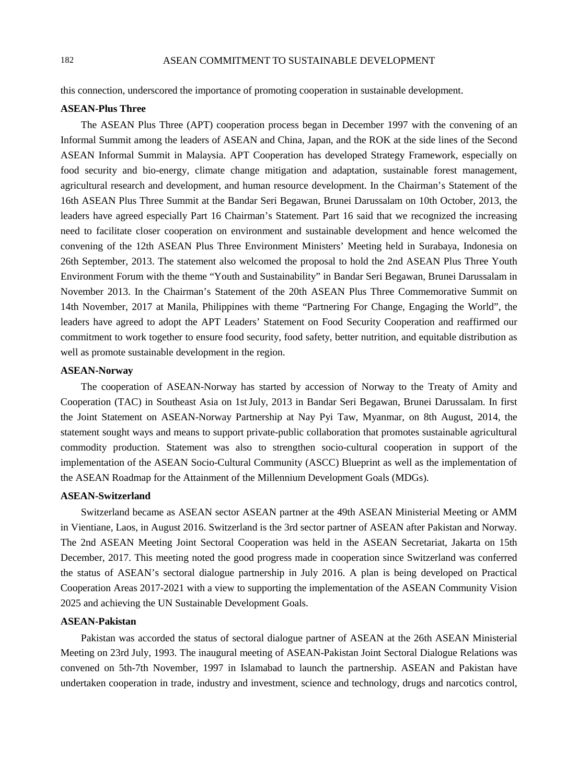this connection, underscored the importance of promoting cooperation in sustainable development.

#### **ASEAN-Plus Three**

The ASEAN Plus Three (APT) cooperation process began in December 1997 with the convening of an Informal Summit among the leaders of ASEAN and China, Japan, and the ROK at the side lines of the Second ASEAN Informal Summit in Malaysia. APT Cooperation has developed Strategy Framework, especially on food security and bio-energy, climate change mitigation and adaptation, sustainable forest management, agricultural research and development, and human resource development. In the Chairman's Statement of the 16th ASEAN Plus Three Summit at the Bandar Seri Begawan, Brunei Darussalam on 10th October, 2013, the leaders have agreed especially Part 16 Chairman's Statement. Part 16 said that we recognized the increasing need to facilitate closer cooperation on environment and sustainable development and hence welcomed the convening of the 12th ASEAN Plus Three Environment Ministers' Meeting held in Surabaya, Indonesia on 26th September, 2013. The statement also welcomed the proposal to hold the 2nd ASEAN Plus Three Youth Environment Forum with the theme "Youth and Sustainability" in Bandar Seri Begawan, Brunei Darussalam in November 2013. In the Chairman's Statement of the 20th ASEAN Plus Three Commemorative Summit on 14th November, 2017 at Manila, Philippines with theme "Partnering For Change, Engaging the World", the leaders have agreed to adopt the APT Leaders' Statement on Food Security Cooperation and reaffirmed our commitment to work together to ensure food security, food safety, better nutrition, and equitable distribution as well as promote sustainable development in the region.

#### **ASEAN-Norway**

The cooperation of ASEAN-Norway has started by accession of Norway to the Treaty of Amity and Cooperation (TAC) in Southeast Asia on 1stJuly, 2013 in Bandar Seri Begawan, Brunei Darussalam. In first the Joint Statement on ASEAN-Norway Partnership at Nay Pyi Taw, Myanmar, on 8th August, 2014, the statement sought ways and means to support private-public collaboration that promotes sustainable agricultural commodity production. Statement was also to strengthen socio-cultural cooperation in support of the implementation of the ASEAN Socio-Cultural Community (ASCC) Blueprint as well as the implementation of the ASEAN Roadmap for the Attainment of the Millennium Development Goals (MDGs).

#### **ASEAN-Switzerland**

Switzerland became as ASEAN sector ASEAN partner at the 49th ASEAN Ministerial Meeting or AMM in Vientiane, Laos, in August 2016. Switzerland is the 3rd sector partner of ASEAN after Pakistan and Norway. The 2nd ASEAN Meeting Joint Sectoral Cooperation was held in the ASEAN Secretariat, Jakarta on 15th December, 2017. This meeting noted the good progress made in cooperation since Switzerland was conferred the status of ASEAN's sectoral dialogue partnership in July 2016. A plan is being developed on Practical Cooperation Areas 2017-2021 with a view to supporting the implementation of the ASEAN Community Vision 2025 and achieving the UN Sustainable Development Goals.

#### **ASEAN-Pakistan**

Pakistan was accorded the status of sectoral dialogue partner of ASEAN at the 26th ASEAN Ministerial Meeting on 23rd July, 1993. The inaugural meeting of ASEAN-Pakistan Joint Sectoral Dialogue Relations was convened on 5th-7th November, 1997 in Islamabad to launch the partnership. ASEAN and Pakistan have undertaken cooperation in trade, industry and investment, science and technology, drugs and narcotics control,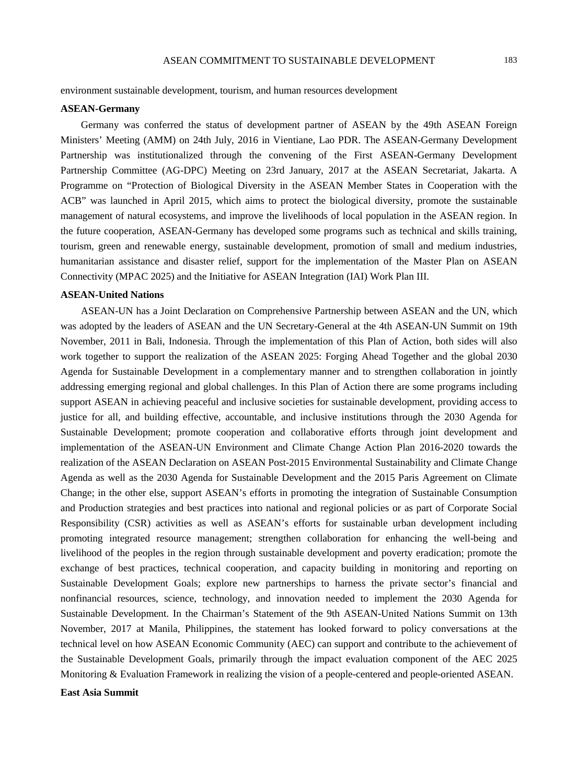environment sustainable development, tourism, and human resources development

#### **ASEAN-Germany**

Germany was conferred the status of development partner of ASEAN by the 49th ASEAN Foreign Ministers' Meeting (AMM) on 24th July, 2016 in Vientiane, Lao PDR. The ASEAN-Germany Development Partnership was institutionalized through the convening of the First ASEAN-Germany Development Partnership Committee (AG-DPC) Meeting on 23rd January, 2017 at the ASEAN Secretariat, Jakarta. A Programme on "Protection of Biological Diversity in the ASEAN Member States in Cooperation with the ACB" was launched in April 2015, which aims to protect the biological diversity, promote the sustainable management of natural ecosystems, and improve the livelihoods of local population in the ASEAN region. In the future cooperation, ASEAN-Germany has developed some programs such as technical and skills training, tourism, green and renewable energy, sustainable development, promotion of small and medium industries, humanitarian assistance and disaster relief, support for the implementation of the Master Plan on ASEAN Connectivity (MPAC 2025) and the Initiative for ASEAN Integration (IAI) Work Plan III.

#### **ASEAN-United Nations**

ASEAN-UN has a Joint Declaration on Comprehensive Partnership between ASEAN and the UN, which was adopted by the leaders of ASEAN and the UN Secretary-General at the 4th ASEAN-UN Summit on 19th November, 2011 in Bali, Indonesia. Through the implementation of this Plan of Action, both sides will also work together to support the realization of the ASEAN 2025: Forging Ahead Together and the global 2030 Agenda for Sustainable Development in a complementary manner and to strengthen collaboration in jointly addressing emerging regional and global challenges. In this Plan of Action there are some programs including support ASEAN in achieving peaceful and inclusive societies for sustainable development, providing access to justice for all, and building effective, accountable, and inclusive institutions through the 2030 Agenda for Sustainable Development; promote cooperation and collaborative efforts through joint development and implementation of the ASEAN-UN Environment and Climate Change Action Plan 2016-2020 towards the realization of the ASEAN Declaration on ASEAN Post-2015 Environmental Sustainability and Climate Change Agenda as well as the 2030 Agenda for Sustainable Development and the 2015 Paris Agreement on Climate Change; in the other else, support ASEAN's efforts in promoting the integration of Sustainable Consumption and Production strategies and best practices into national and regional policies or as part of Corporate Social Responsibility (CSR) activities as well as ASEAN's efforts for sustainable urban development including promoting integrated resource management; strengthen collaboration for enhancing the well-being and livelihood of the peoples in the region through sustainable development and poverty eradication; promote the exchange of best practices, technical cooperation, and capacity building in monitoring and reporting on Sustainable Development Goals; explore new partnerships to harness the private sector's financial and nonfinancial resources, science, technology, and innovation needed to implement the 2030 Agenda for Sustainable Development. In the Chairman's Statement of the 9th ASEAN-United Nations Summit on 13th November, 2017 at Manila, Philippines, the statement has looked forward to policy conversations at the technical level on how ASEAN Economic Community (AEC) can support and contribute to the achievement of the Sustainable Development Goals, primarily through the impact evaluation component of the AEC 2025 Monitoring & Evaluation Framework in realizing the vision of a people-centered and people-oriented ASEAN.

# **East Asia Summit**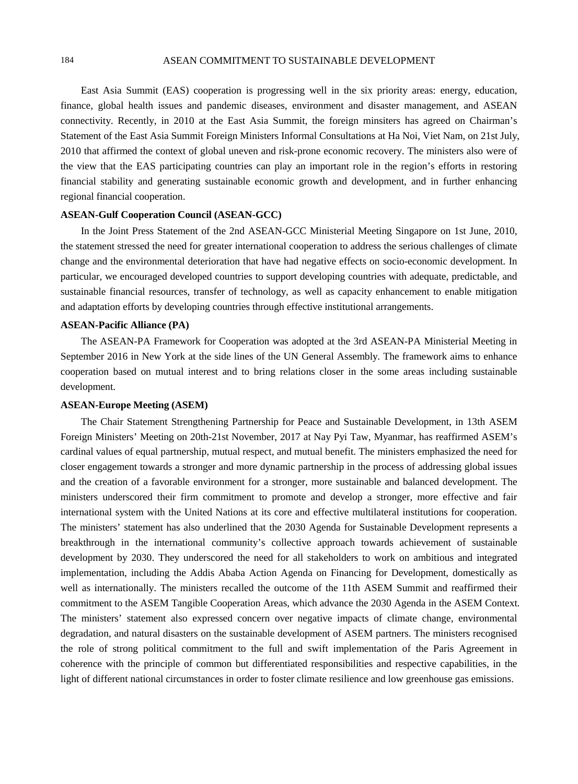East Asia Summit (EAS) cooperation is progressing well in the six priority areas: energy, education, finance, global health issues and pandemic diseases, environment and disaster management, and ASEAN connectivity. Recently, in 2010 at the East Asia Summit, the foreign minsiters has agreed on Chairman's Statement of the East Asia Summit Foreign Ministers Informal Consultations at Ha Noi, Viet Nam, on 21st July, 2010 that affirmed the context of global uneven and risk-prone economic recovery. The ministers also were of the view that the EAS participating countries can play an important role in the region's efforts in restoring financial stability and generating sustainable economic growth and development, and in further enhancing regional financial cooperation.

### **ASEAN-Gulf Cooperation Council (ASEAN-GCC)**

In the Joint Press Statement of the 2nd ASEAN-GCC Ministerial Meeting Singapore on 1st June, 2010, the statement stressed the need for greater international cooperation to address the serious challenges of climate change and the environmental deterioration that have had negative effects on socio-economic development. In particular, we encouraged developed countries to support developing countries with adequate, predictable, and sustainable financial resources, transfer of technology, as well as capacity enhancement to enable mitigation and adaptation efforts by developing countries through effective institutional arrangements.

#### **ASEAN-Pacific Alliance (PA)**

The ASEAN-PA Framework for Cooperation was adopted at the 3rd ASEAN-PA Ministerial Meeting in September 2016 in New York at the side lines of the UN General Assembly. The framework aims to enhance cooperation based on mutual interest and to bring relations closer in the some areas including sustainable development.

#### **ASEAN-Europe Meeting (ASEM)**

The Chair Statement Strengthening Partnership for Peace and Sustainable Development, in 13th ASEM Foreign Ministers' Meeting on 20th-21st November, 2017 at Nay Pyi Taw, Myanmar, has reaffirmed ASEM's cardinal values of equal partnership, mutual respect, and mutual benefit. The ministers emphasized the need for closer engagement towards a stronger and more dynamic partnership in the process of addressing global issues and the creation of a favorable environment for a stronger, more sustainable and balanced development. The ministers underscored their firm commitment to promote and develop a stronger, more effective and fair international system with the United Nations at its core and effective multilateral institutions for cooperation. The ministers' statement has also underlined that the 2030 Agenda for Sustainable Development represents a breakthrough in the international community's collective approach towards achievement of sustainable development by 2030. They underscored the need for all stakeholders to work on ambitious and integrated implementation, including the Addis Ababa Action Agenda on Financing for Development, domestically as well as internationally. The ministers recalled the outcome of the 11th ASEM Summit and reaffirmed their commitment to the ASEM Tangible Cooperation Areas, which advance the 2030 Agenda in the ASEM Context. The ministers' statement also expressed concern over negative impacts of climate change, environmental degradation, and natural disasters on the sustainable development of ASEM partners. The ministers recognised the role of strong political commitment to the full and swift implementation of the Paris Agreement in coherence with the principle of common but differentiated responsibilities and respective capabilities, in the light of different national circumstances in order to foster climate resilience and low greenhouse gas emissions.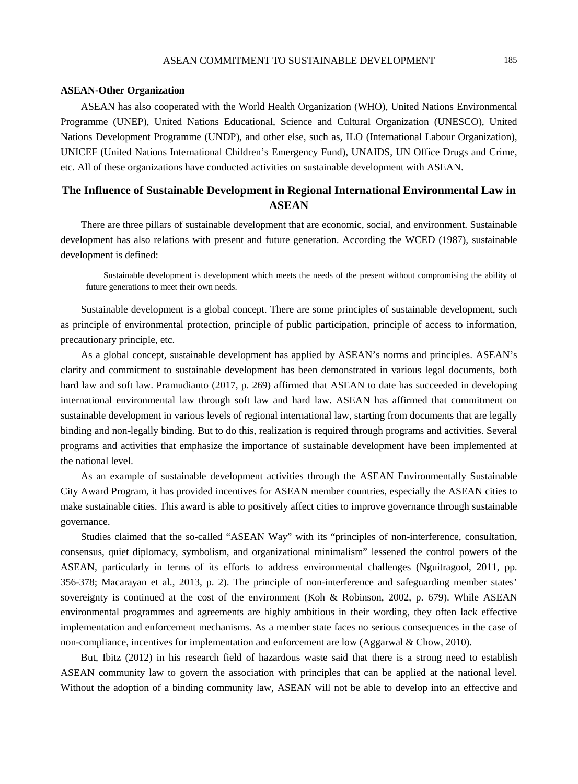#### **ASEAN-Other Organization**

ASEAN has also cooperated with the World Health Organization (WHO), United Nations Environmental Programme (UNEP), United Nations Educational, Science and Cultural Organization (UNESCO), United Nations Development Programme (UNDP), and other else, such as, ILO (International Labour Organization), UNICEF (United Nations International Children's Emergency Fund), UNAIDS, UN Office Drugs and Crime, etc. All of these organizations have conducted activities on sustainable development with ASEAN.

# **The Influence of Sustainable Development in Regional International Environmental Law in ASEAN**

There are three pillars of sustainable development that are economic, social, and environment. Sustainable development has also relations with present and future generation. According the WCED (1987), sustainable development is defined:

Sustainable development is development which meets the needs of the present without compromising the ability of future generations to meet their own needs.

Sustainable development is a global concept. There are some principles of sustainable development, such as principle of environmental protection, principle of public participation, principle of access to information, precautionary principle, etc.

As a global concept, sustainable development has applied by ASEAN's norms and principles. ASEAN's clarity and commitment to sustainable development has been demonstrated in various legal documents, both hard law and soft law. Pramudianto (2017, p. 269) affirmed that ASEAN to date has succeeded in developing international environmental law through soft law and hard law. ASEAN has affirmed that commitment on sustainable development in various levels of regional international law, starting from documents that are legally binding and non-legally binding. But to do this, realization is required through programs and activities. Several programs and activities that emphasize the importance of sustainable development have been implemented at the national level.

As an example of sustainable development activities through the ASEAN Environmentally Sustainable City Award Program, it has provided incentives for ASEAN member countries, especially the ASEAN cities to make sustainable cities. This award is able to positively affect cities to improve governance through sustainable governance.

Studies claimed that the so-called "ASEAN Way" with its "principles of non-interference, consultation, consensus, quiet diplomacy, symbolism, and organizational minimalism" lessened the control powers of the ASEAN, particularly in terms of its efforts to address environmental challenges (Nguitragool, 2011, pp. 356-378; Macarayan et al., 2013, p. 2). The principle of non-interference and safeguarding member states' sovereignty is continued at the cost of the environment (Koh & Robinson, 2002, p. 679). While ASEAN environmental programmes and agreements are highly ambitious in their wording, they often lack effective implementation and enforcement mechanisms. As a member state faces no serious consequences in the case of non-compliance, incentives for implementation and enforcement are low (Aggarwal & Chow, 2010).

But, Ibitz (2012) in his research field of hazardous waste said that there is a strong need to establish ASEAN community law to govern the association with principles that can be applied at the national level. Without the adoption of a binding community law, ASEAN will not be able to develop into an effective and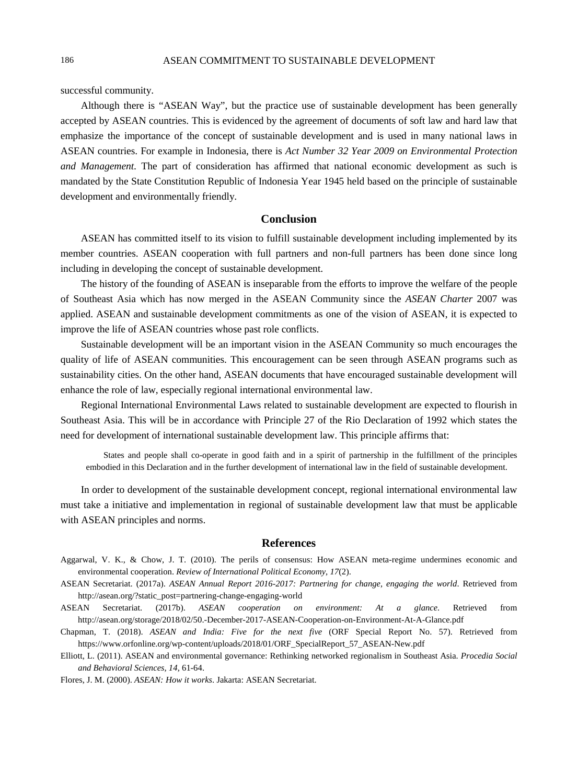successful community.

Although there is "ASEAN Way", but the practice use of sustainable development has been generally accepted by ASEAN countries. This is evidenced by the agreement of documents of soft law and hard law that emphasize the importance of the concept of sustainable development and is used in many national laws in ASEAN countries. For example in Indonesia, there is *Act Number 32 Year 2009 on Environmental Protection and Management*. The part of consideration has affirmed that national economic development as such is mandated by the State Constitution Republic of Indonesia Year 1945 held based on the principle of sustainable development and environmentally friendly.

# **Conclusion**

ASEAN has committed itself to its vision to fulfill sustainable development including implemented by its member countries. ASEAN cooperation with full partners and non-full partners has been done since long including in developing the concept of sustainable development.

The history of the founding of ASEAN is inseparable from the efforts to improve the welfare of the people of Southeast Asia which has now merged in the ASEAN Community since the *ASEAN Charter* 2007 was applied. ASEAN and sustainable development commitments as one of the vision of ASEAN, it is expected to improve the life of ASEAN countries whose past role conflicts.

Sustainable development will be an important vision in the ASEAN Community so much encourages the quality of life of ASEAN communities. This encouragement can be seen through ASEAN programs such as sustainability cities. On the other hand, ASEAN documents that have encouraged sustainable development will enhance the role of law, especially regional international environmental law.

Regional International Environmental Laws related to sustainable development are expected to flourish in Southeast Asia. This will be in accordance with Principle 27 of the Rio Declaration of 1992 which states the need for development of international sustainable development law. This principle affirms that:

States and people shall co-operate in good faith and in a spirit of partnership in the fulfillment of the principles embodied in this Declaration and in the further development of international law in the field of sustainable development.

In order to development of the sustainable development concept, regional international environmental law must take a initiative and implementation in regional of sustainable development law that must be applicable with ASEAN principles and norms.

#### **References**

- Aggarwal, V. K., & Chow, J. T. (2010). The perils of consensus: How ASEAN meta-regime undermines economic and environmental cooperation. *Review of International Political Economy, 17*(2).
- ASEAN Secretariat. (2017a). *ASEAN Annual Report 2016-2017: Partnering for change, engaging the world*. Retrieved from http://asean.org/?static\_post=partnering-change-engaging-world
- ASEAN Secretariat. (2017b). *ASEAN cooperation on environment: At a glance*. Retrieved from http://asean.org/storage/2018/02/50.-December-2017-ASEAN-Cooperation-on-Environment-At-A-Glance.pdf
- Chapman, T. (2018). *ASEAN and India: Five for the next five* (ORF Special Report No. 57). Retrieved from https://www.orfonline.org/wp-content/uploads/2018/01/ORF\_SpecialReport\_57\_ASEAN-New.pdf
- Elliott, L. (2011). ASEAN and environmental governance: Rethinking networked regionalism in Southeast Asia. *Procedia Social and Behavioral Sciences, 14,* 61-64.

Flores, J. M. (2000). *ASEAN: How it works*. Jakarta: ASEAN Secretariat.